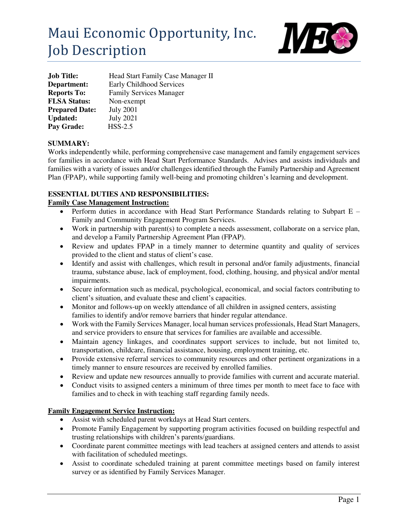# Maui Economic Opportunity, Inc. Job Description



| <b>Job Title:</b>     | Head Start Family Case Manager II |
|-----------------------|-----------------------------------|
| Department:           | Early Childhood Services          |
| <b>Reports To:</b>    | <b>Family Services Manager</b>    |
| <b>FLSA Status:</b>   | Non-exempt                        |
| <b>Prepared Date:</b> | <b>July 2001</b>                  |
| <b>Updated:</b>       | <b>July 2021</b>                  |
| Pay Grade:            | $HSS-2.5$                         |

#### **SUMMARY:**

Works independently while, performing comprehensive case management and family engagement services for families in accordance with Head Start Performance Standards. Advises and assists individuals and families with a variety of issues and/or challenges identified through the Family Partnership and Agreement Plan (FPAP), while supporting family well-being and promoting children's learning and development.

#### **ESSENTIAL DUTIES AND RESPONSIBILITIES:**

#### **Family Case Management Instruction:**

- Perform duties in accordance with Head Start Performance Standards relating to Subpart E Family and Community Engagement Program Services.
- Work in partnership with parent(s) to complete a needs assessment, collaborate on a service plan, and develop a Family Partnership Agreement Plan (FPAP).
- Review and updates FPAP in a timely manner to determine quantity and quality of services provided to the client and status of client's case.
- Identify and assist with challenges, which result in personal and/or family adjustments, financial trauma, substance abuse, lack of employment, food, clothing, housing, and physical and/or mental impairments.
- Secure information such as medical, psychological, economical, and social factors contributing to client's situation, and evaluate these and client's capacities.
- Monitor and follows-up on weekly attendance of all children in assigned centers, assisting families to identify and/or remove barriers that hinder regular attendance.
- Work with the Family Services Manager, local human services professionals, Head Start Managers, and service providers to ensure that services for families are available and accessible.
- Maintain agency linkages, and coordinates support services to include, but not limited to, transportation, childcare, financial assistance, housing, employment training, etc.
- Provide extensive referral services to community resources and other pertinent organizations in a timely manner to ensure resources are received by enrolled families.
- Review and update new resources annually to provide families with current and accurate material.
- Conduct visits to assigned centers a minimum of three times per month to meet face to face with families and to check in with teaching staff regarding family needs.

#### **Family Engagement Service Instruction:**

- Assist with scheduled parent workdays at Head Start centers.
- Promote Family Engagement by supporting program activities focused on building respectful and trusting relationships with children's parents/guardians.
- Coordinate parent committee meetings with lead teachers at assigned centers and attends to assist with facilitation of scheduled meetings.
- Assist to coordinate scheduled training at parent committee meetings based on family interest survey or as identified by Family Services Manager.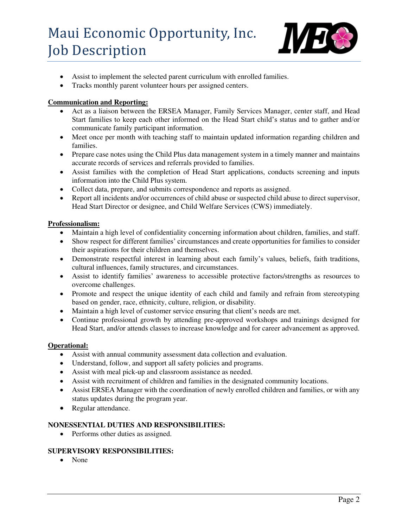## Maui Economic Opportunity, Inc. Job Description



- Assist to implement the selected parent curriculum with enrolled families.
- Tracks monthly parent volunteer hours per assigned centers.

### **Communication and Reporting:**

- Act as a liaison between the ERSEA Manager, Family Services Manager, center staff, and Head Start families to keep each other informed on the Head Start child's status and to gather and/or communicate family participant information.
- Meet once per month with teaching staff to maintain updated information regarding children and families.
- Prepare case notes using the Child Plus data management system in a timely manner and maintains accurate records of services and referrals provided to families.
- Assist families with the completion of Head Start applications, conducts screening and inputs information into the Child Plus system.
- Collect data, prepare, and submits correspondence and reports as assigned.
- Report all incidents and/or occurrences of child abuse or suspected child abuse to direct supervisor, Head Start Director or designee, and Child Welfare Services (CWS) immediately.

#### **Professionalism:**

- Maintain a high level of confidentiality concerning information about children, families, and staff.
- Show respect for different families' circumstances and create opportunities for families to consider their aspirations for their children and themselves.
- Demonstrate respectful interest in learning about each family's values, beliefs, faith traditions, cultural influences, family structures, and circumstances.
- Assist to identify families' awareness to accessible protective factors/strengths as resources to overcome challenges.
- Promote and respect the unique identity of each child and family and refrain from stereotyping based on gender, race, ethnicity, culture, religion, or disability.
- Maintain a high level of customer service ensuring that client's needs are met.
- Continue professional growth by attending pre-approved workshops and trainings designed for Head Start, and/or attends classes to increase knowledge and for career advancement as approved.

#### **Operational:**

- Assist with annual community assessment data collection and evaluation.
- Understand, follow, and support all safety policies and programs.
- Assist with meal pick-up and classroom assistance as needed.
- Assist with recruitment of children and families in the designated community locations.
- Assist ERSEA Manager with the coordination of newly enrolled children and families, or with any status updates during the program year.
- Regular attendance.

### **NONESSENTIAL DUTIES AND RESPONSIBILITIES:**

• Performs other duties as assigned.

#### **SUPERVISORY RESPONSIBILITIES:**

• None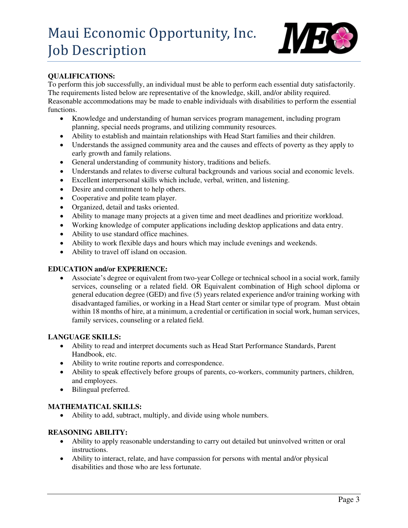

### **QUALIFICATIONS:**

To perform this job successfully, an individual must be able to perform each essential duty satisfactorily. The requirements listed below are representative of the knowledge, skill, and/or ability required. Reasonable accommodations may be made to enable individuals with disabilities to perform the essential functions.

- Knowledge and understanding of human services program management, including program planning, special needs programs, and utilizing community resources.
- Ability to establish and maintain relationships with Head Start families and their children.
- Understands the assigned community area and the causes and effects of poverty as they apply to early growth and family relations.
- General understanding of community history, traditions and beliefs.
- Understands and relates to diverse cultural backgrounds and various social and economic levels.
- Excellent interpersonal skills which include, verbal, written, and listening.
- Desire and commitment to help others.
- Cooperative and polite team player.
- Organized, detail and tasks oriented.
- Ability to manage many projects at a given time and meet deadlines and prioritize workload.
- Working knowledge of computer applications including desktop applications and data entry.
- Ability to use standard office machines.
- Ability to work flexible days and hours which may include evenings and weekends.
- Ability to travel off island on occasion.

#### **EDUCATION and/or EXPERIENCE:**

 Associate's degree or equivalent from two-year College or technical school in a social work, family services, counseling or a related field. OR Equivalent combination of High school diploma or general education degree (GED) and five (5) years related experience and/or training working with disadvantaged families, or working in a Head Start center or similar type of program. Must obtain within 18 months of hire, at a minimum, a credential or certification in social work, human services, family services, counseling or a related field.

#### **LANGUAGE SKILLS:**

- Ability to read and interpret documents such as Head Start Performance Standards, Parent Handbook, etc.
- Ability to write routine reports and correspondence.
- Ability to speak effectively before groups of parents, co-workers, community partners, children, and employees.
- Bilingual preferred.

#### **MATHEMATICAL SKILLS:**

Ability to add, subtract, multiply, and divide using whole numbers.

#### **REASONING ABILITY:**

- Ability to apply reasonable understanding to carry out detailed but uninvolved written or oral instructions.
- Ability to interact, relate, and have compassion for persons with mental and/or physical disabilities and those who are less fortunate.